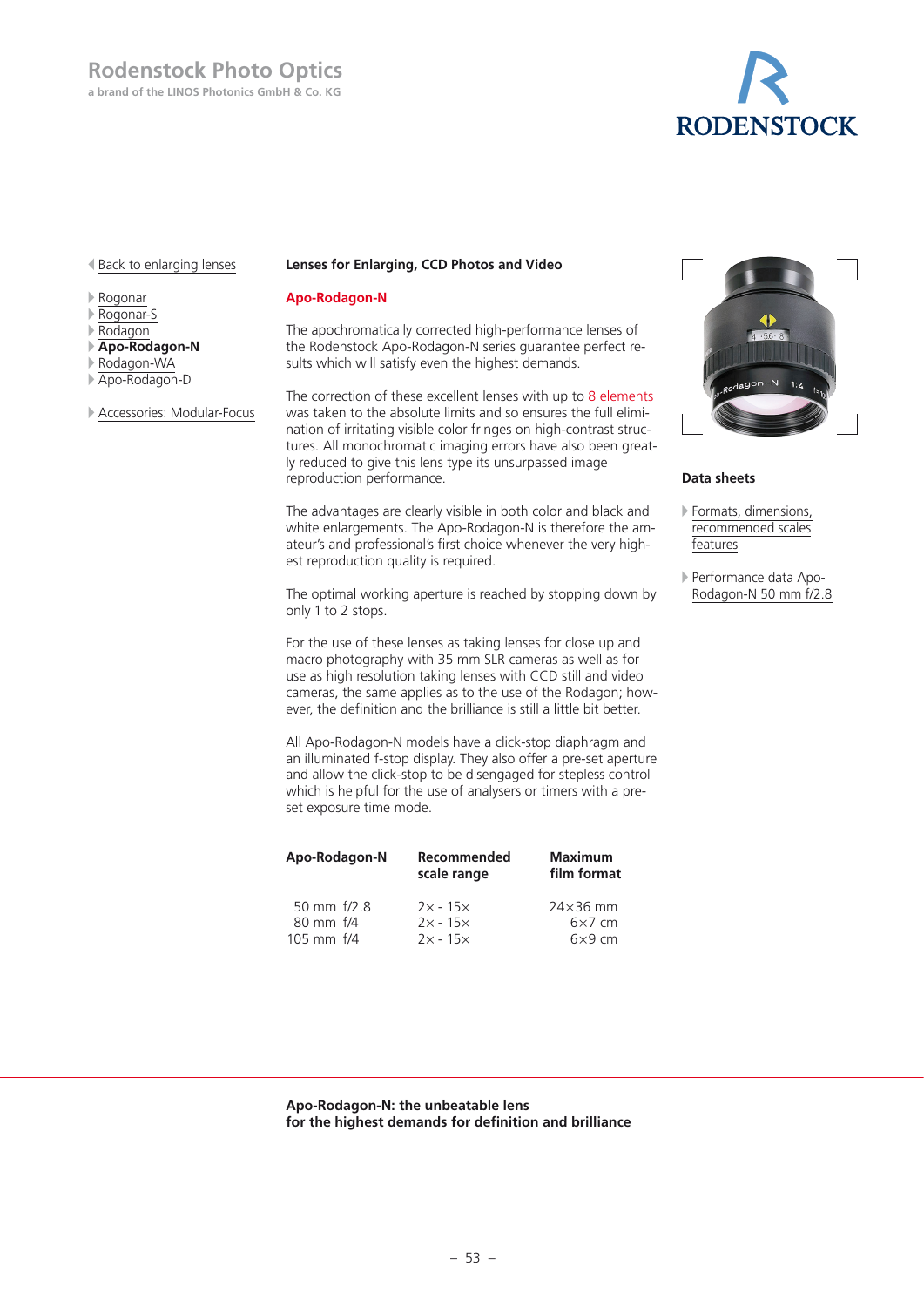

# Back to enlarging lenses

- Rogonar
- Rogonar-S
- Rodagon
- **Apo-Rodagon-N**
- Rodagon-WA
- Apo-Rodagon-D
- Accessories: Modular-Focus

### **Lenses for Enlarging, CCD Photos and Video**

# **Apo-Rodagon-N**

The apochromatically corrected high-performance lenses of the Rodenstock Apo-Rodagon-N series guarantee perfect results which will satisfy even the highest demands.

The correction of these excellent lenses with up to 8 elements was taken to the absolute limits and so ensures the full elimination of irritating visible color fringes on high-contrast structures. All monochromatic imaging errors have also been greatly reduced to give this lens type its unsurpassed image reproduction performance.

The advantages are clearly visible in both color and black and white enlargements. The Apo-Rodagon-N is therefore the amateur's and professional's first choice whenever the very highest reproduction quality is required.

The optimal working aperture is reached by stopping down by only 1 to 2 stops.

For the use of these lenses as taking lenses for close up and macro photography with 35 mm SLR cameras as well as for use as high resolution taking lenses with CCD still and video cameras, the same applies as to the use of the Rodagon; however, the definition and the brilliance is still a little bit better.

All Apo-Rodagon-N models have a click-stop diaphragm and an illuminated f-stop display. They also offer a pre-set aperture and allow the click-stop to be disengaged for stepless control which is helpful for the use of analysers or timers with a preset exposure time mode.

| Apo-Rodagon-N              | Recommended<br>scale range | <b>Maximum</b><br>film format    |  |  |
|----------------------------|----------------------------|----------------------------------|--|--|
| 50 mm $f/2$ 8<br>80 mm f/4 | $2x - 15x$<br>$2x - 15x$   | $24\times36$ mm<br>$6\times7$ cm |  |  |
| 105 mm $f/4$               | $2x - 15x$                 | $6\times9$ cm                    |  |  |



# **Data sheets**

- Formats, dimensions, recommended scales features
- Performance data Apo-Rodagon-N 50 mm f/2.8

#### **Apo-Rodagon-N: the unbeatable lens for the highest demands for definition and brilliance**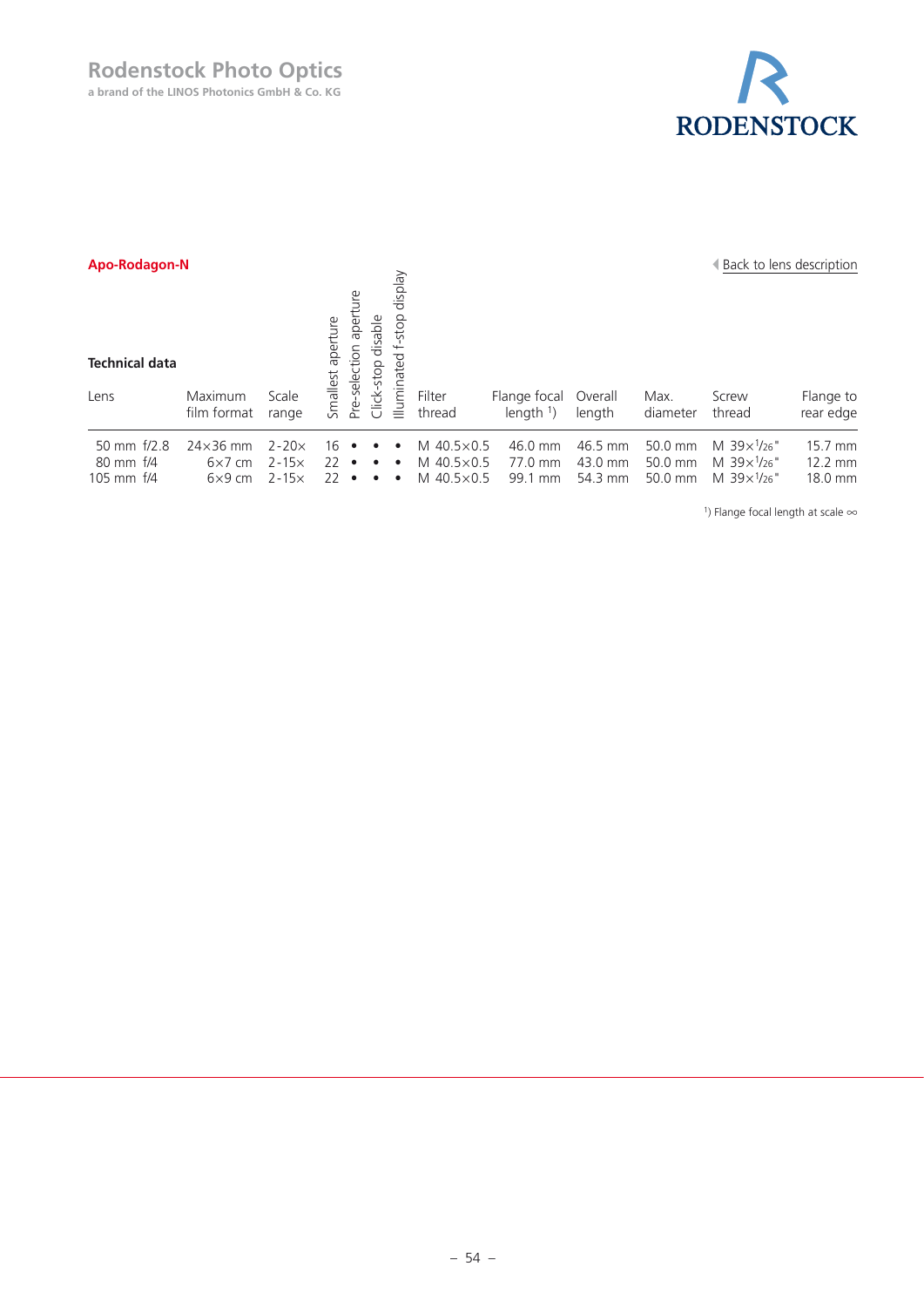# **Rodenstock Photo Optics**

**a brand of the LINOS Photonics GmbH & Co. KG**



| Apo-Rodagon-N                 |                 |           |                      |                                                                            |                             |                     |                      | Back to lens description |          |                              |           |
|-------------------------------|-----------------|-----------|----------------------|----------------------------------------------------------------------------|-----------------------------|---------------------|----------------------|--------------------------|----------|------------------------------|-----------|
| <b>Technical data</b><br>Lens | Maximum         | Scale     | aperture<br>Smallest | disable<br>Φ<br>ction<br>dops.<br>$\frac{\tilde{\Theta}}{\Theta}$<br>lick- | display<br>-stop<br>minated | Filter              | Flange focal         | Overall                  | Max.     | Screw                        | Flange to |
|                               | film format     | range     |                      | فع<br>م<br>$\cup$                                                          | $\equiv$                    | thread              | length $\frac{1}{2}$ | length                   | diameter | thread                       | rear edge |
| 50 mm f/2.8                   | $24\times36$ mm | $2 - 20x$ | 16                   |                                                                            | $\bullet$                   | M $40.5 \times 0.5$ | 46.0 mm              | 46.5 mm                  | 50.0 mm  | M $39x^{1/26}$               | 15.7 mm   |
| 80 mm f/4                     | $6\times7$ cm   | $2 - 15x$ | 22                   | $\bullet$<br>$\bullet$                                                     | $\bullet$                   | M 40.5×0.5          | 77.0 mm              | 43.0 mm                  | 50.0 mm  | M $39 \times \frac{1}{26}$ " | 12.2 mm   |
| 105 mm f/4                    | $6\times9$ cm   | $2 - 15x$ | 22                   | $\bullet$                                                                  | $\bullet$                   | M 40.5×0.5          | 99.1 mm              | 54.3 mm                  | 50.0 mm  | M $39x^{1/26}$               | 18.0 mm   |

1) Flange focal length at scale ∞